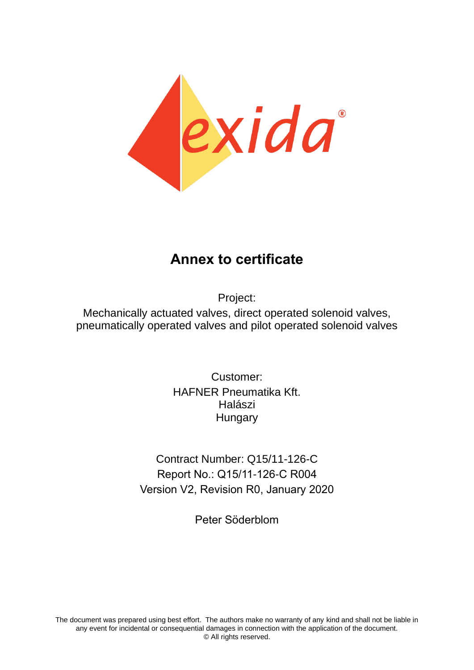

# **Annex to certificate**

Project:

Mechanically actuated valves, direct operated solenoid valves, pneumatically operated valves and pilot operated solenoid valves

> Customer: HAFNER Pneumatika Kft. Halászi **Hungary**

Contract Number: Q15/11-126-C Report No.: Q15/11-126-C R004 Version V2, Revision R0, January 2020

Peter Söderblom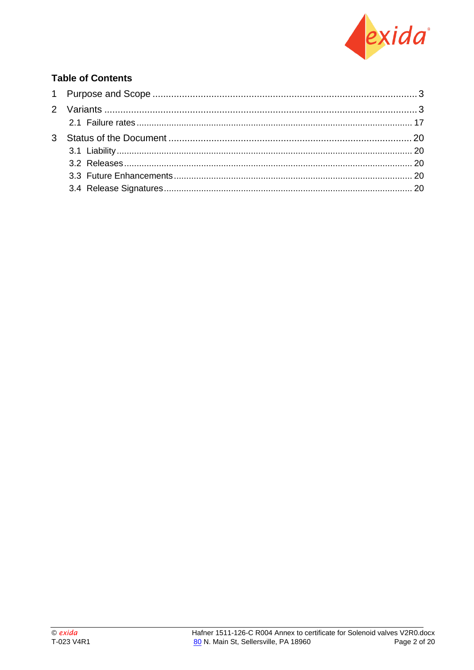

## **Table of Contents**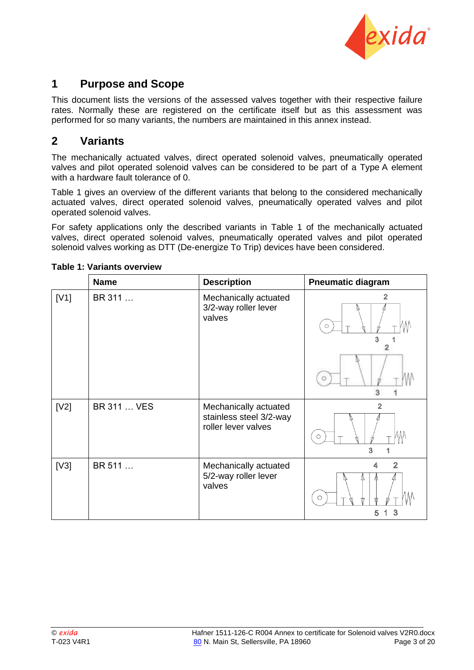

# <span id="page-2-0"></span>**1 Purpose and Scope**

This document lists the versions of the assessed valves together with their respective failure rates. Normally these are registered on the certificate itself but as this assessment was performed for so many variants, the numbers are maintained in this annex instead.

### <span id="page-2-1"></span>**2 Variants**

The mechanically actuated valves, direct operated solenoid valves, pneumatically operated valves and pilot operated solenoid valves can be considered to be part of a Type A element with a hardware fault tolerance of 0.

[Table 1](#page-2-2) gives an overview of the different variants that belong to the considered mechanically actuated valves, direct operated solenoid valves, pneumatically operated valves and pilot operated solenoid valves.

For safety applications only the described variants in [Table 1](#page-2-2) of the mechanically actuated valves, direct operated solenoid valves, pneumatically operated valves and pilot operated solenoid valves working as DTT (De-energize To Trip) devices have been considered.

|      | <b>Name</b> | <b>Description</b>                                                      | <b>Pneumatic diagram</b>                    |
|------|-------------|-------------------------------------------------------------------------|---------------------------------------------|
| [V1] | BR 311      | Mechanically actuated<br>3/2-way roller lever<br>valves                 | $\overline{2}$<br>$\bigcirc$<br>3<br>3<br>1 |
| [V2] | BR 311  VES | Mechanically actuated<br>stainless steel 3/2-way<br>roller lever valves | $\overline{2}$<br>$\circ$<br>3<br>1         |
| [V3] | BR 511      | Mechanically actuated<br>5/2-way roller lever<br>valves                 | $\overline{2}$<br>4<br>$\circ$<br>3<br>5    |

#### <span id="page-2-2"></span>**Table 1: Variants overview**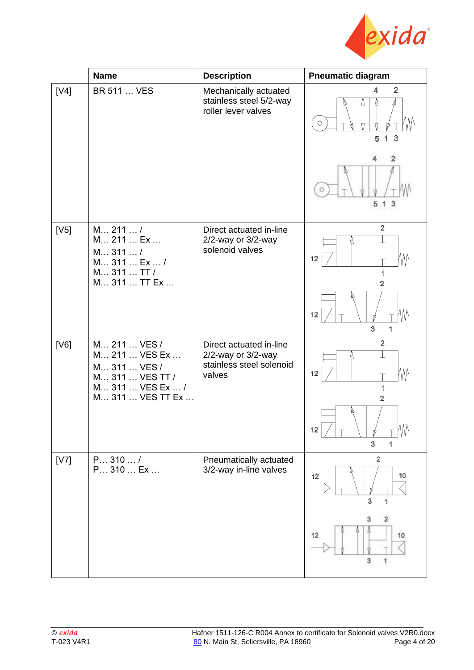

|      | <b>Name</b>                                                                                              | <b>Description</b>                                                                        | <b>Pneumatic diagram</b>                         |
|------|----------------------------------------------------------------------------------------------------------|-------------------------------------------------------------------------------------------|--------------------------------------------------|
| [V4] | <b>BR 511  VES</b>                                                                                       | Mechanically actuated<br>stainless steel 5/2-way<br>roller lever valves                   | $\overline{2}$<br>4<br>$\bigcirc$<br>3<br>5<br>1 |
|      |                                                                                                          |                                                                                           | 2<br>$\circ$<br>5 1 3                            |
| [V5] | M 211 /<br>M 211  Ex<br>M311/<br>M 311  Ex  /<br>M 311  TT /<br>M 311  TT Ex                             | Direct actuated in-line<br>$2/2$ -way or $3/2$ -way<br>solenoid valves                    | $\overline{2}$<br>W<br>12<br>1<br>$\overline{2}$ |
|      |                                                                                                          |                                                                                           | $\sqrt{ }$<br>12<br>3<br>1                       |
| [V6] | M 211  VES /<br>M 211  VES Ex<br>M 311  VES /<br>M 311  VES TT /<br>M 311  VES Ex  /<br>M 311  VES TT Ex | Direct actuated in-line<br>$2/2$ -way or $3/2$ -way<br>stainless steel solenoid<br>valves | $\overline{2}$<br>M<br>12<br>1<br>$\overline{2}$ |
|      |                                                                                                          |                                                                                           | 12<br>3<br>1                                     |
| [V7] | P310/<br>P 310  Ex                                                                                       | Pneumatically actuated<br>3/2-way in-line valves                                          | $\overline{2}$<br>12<br>10<br>3<br>1             |
|      |                                                                                                          |                                                                                           | 2<br>12<br>10<br>3                               |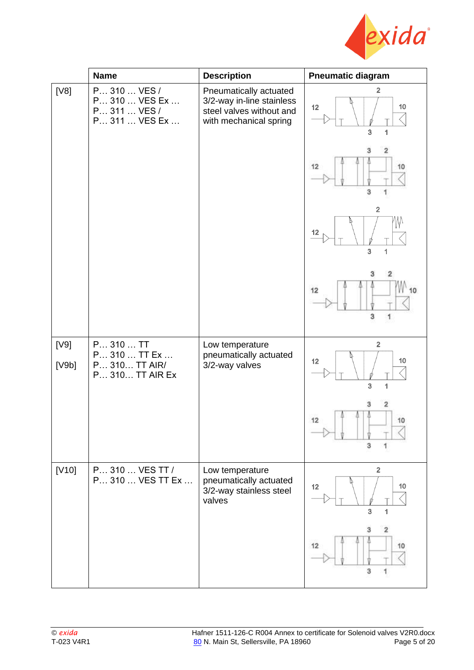

|               | <b>Name</b>                                                    | <b>Description</b>                                                                                        | <b>Pneumatic diagram</b>                           |
|---------------|----------------------------------------------------------------|-----------------------------------------------------------------------------------------------------------|----------------------------------------------------|
| [V8]          | P 310  VES /<br>P 310  VES Ex<br>P 311  VES /<br>P 311  VES Ex | Pneumatically actuated<br>3/2-way in-line stainless<br>steel valves without and<br>with mechanical spring | $\overline{2}$<br>12<br>10<br>3<br>1               |
|               |                                                                |                                                                                                           | 12<br>10<br>3                                      |
|               |                                                                |                                                                                                           | $\overline{2}$<br>12<br>$\overline{3}$<br>1        |
|               |                                                                |                                                                                                           | $\overline{\mathbf{2}}$<br>з<br>12<br>10<br>3<br>1 |
| [V9]<br>[V9b] | P 310  TT<br>P 310  TT Ex<br>P 310 TT AIR/<br>P 310 TT AIR Ex  | Low temperature<br>pneumatically actuated<br>3/2-way valves                                               | $\overline{2}$<br>10<br>12<br>1<br>3               |
|               |                                                                |                                                                                                           | 2<br>3<br>12<br>10<br>3                            |
| $[V10]$       | P 310  VES TT /<br>P 310  VES TT Ex                            | Low temperature<br>pneumatically actuated<br>3/2-way stainless steel<br>valves                            | $\overline{2}$<br>12<br>10<br>3<br>1               |
|               |                                                                |                                                                                                           | 12<br>10<br>3                                      |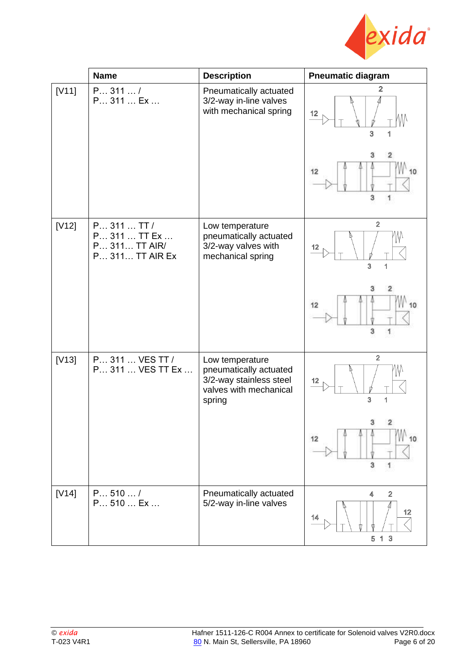

|         | <b>Name</b>                                                     | <b>Description</b>                                                                                       | <b>Pneumatic diagram</b>              |
|---------|-----------------------------------------------------------------|----------------------------------------------------------------------------------------------------------|---------------------------------------|
| [V11]   | P311/<br>P 311  Ex                                              | Pneumatically actuated<br>3/2-way in-line valves<br>with mechanical spring                               | 2<br>12<br>3<br>з<br>2<br>12          |
|         |                                                                 |                                                                                                          | 3                                     |
| $[V12]$ | P 311  TT /<br>P 311  TT Ex<br>P 311 TT AIR/<br>P 311 TT AIR Ex | Low temperature<br>pneumatically actuated<br>3/2-way valves with<br>mechanical spring                    | $\overline{2}$<br>12<br>3<br>1        |
|         |                                                                 |                                                                                                          | $\overline{2}$<br>з<br>12<br>3        |
| $[V13]$ | P 311  VES TT /<br>P 311  VES TT Ex                             | Low temperature<br>pneumatically actuated<br>3/2-way stainless steel<br>valves with mechanical<br>spring | $\overline{2}$<br>12<br>3<br>1        |
|         |                                                                 |                                                                                                          | 10<br>12<br>3<br>1                    |
| $[V14]$ | P 510 /<br>P 510  Ex                                            | Pneumatically actuated<br>5/2-way in-line valves                                                         | $\mathbf 2$<br>4<br>12<br>14<br>5 1 3 |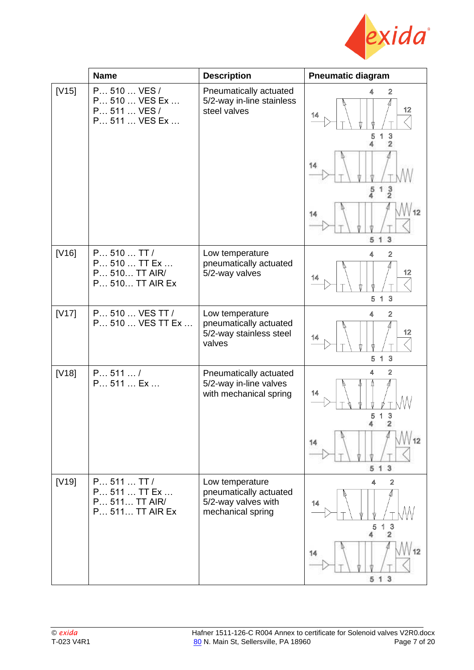

|         | <b>Name</b>                                                     | <b>Description</b>                                                                    | <b>Pneumatic diagram</b>                                         |
|---------|-----------------------------------------------------------------|---------------------------------------------------------------------------------------|------------------------------------------------------------------|
| $[V15]$ | P 510  VES /<br>P 510  VES Ex<br>P 511  VES /<br>P 511  VES Ex  | Pneumatically actuated<br>5/2-way in-line stainless<br>steel valves                   | $\overline{2}$<br>12<br>14<br>$\mathbf 3$<br>5<br>$\overline{2}$ |
|         |                                                                 |                                                                                       | 14<br>$\frac{3}{2}$<br>5<br>4                                    |
|         |                                                                 |                                                                                       | 14<br>1 <sub>3</sub><br>5                                        |
| [V16]   | P 510 T T /<br>P 510  TT Ex<br>P 510 TT AIR/<br>P 510 TT AIR Ex | Low temperature<br>pneumatically actuated<br>5/2-way valves                           | $\overline{2}$<br>4<br>12<br>14<br>$\overline{3}$<br>5<br>1      |
| $[V17]$ | P 510  VES TT /<br>P 510  VES TT Ex                             | Low temperature<br>pneumatically actuated<br>5/2-way stainless steel<br>valves        | $\overline{2}$<br>4<br>12<br>14<br>$\mathbf{3}$<br>5<br>1        |
| [V18]   | P 511 /<br>P 511  Ex                                            | Pneumatically actuated<br>5/2-way in-line valves<br>with mechanical spring            | 4<br>$\mathbf{2}$<br>14<br>3<br>5<br>2                           |
|         |                                                                 |                                                                                       | 14<br>513                                                        |
| $[V19]$ | P 511 T T /<br>P 511  TT Ex<br>P 511 TT AIR/<br>P 511 TT AIR Ex | Low temperature<br>pneumatically actuated<br>5/2-way valves with<br>mechanical spring | $\overline{2}$<br>4<br>14<br>3<br>5<br>4<br>$\overline{2}$       |
|         |                                                                 |                                                                                       | 12<br>14<br>513                                                  |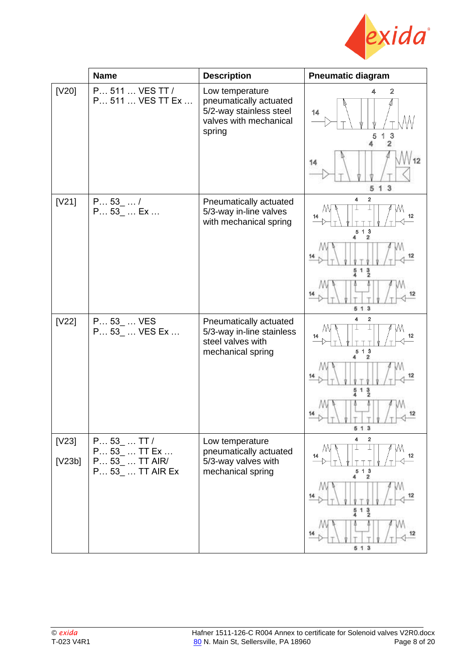

|                   | <b>Name</b>                                                     | <b>Description</b>                                                                                       | <b>Pneumatic diagram</b>                                                                                                                 |
|-------------------|-----------------------------------------------------------------|----------------------------------------------------------------------------------------------------------|------------------------------------------------------------------------------------------------------------------------------------------|
| [V20]             | P 511  VES TT /<br>P 511  VES TT Ex                             | Low temperature<br>pneumatically actuated<br>5/2-way stainless steel<br>valves with mechanical<br>spring | $\mathbf 2$<br>₫.<br>14<br>3<br>5<br>$\overline{\mathbf{2}}$<br>14<br>13<br>5                                                            |
| [V21]             | P 53 /<br>P 53_  Ex                                             | Pneumatically actuated<br>5/3-way in-line valves<br>with mechanical spring                               | 4<br>$\overline{\mathbf{2}}$<br>12<br>14<br>$5 \t1 \t3$<br>2<br>$13$ <sub>2</sub><br>5<br>513                                            |
| [V22]             | P 53_  VES<br>P 53_  VES Ex                                     | Pneumatically actuated<br>5/3-way in-line stainless<br>steel valves with<br>mechanical spring            | 2<br>4<br>12<br>14<br>$5$ 1 $3$<br>2<br>$\frac{5}{4}$ 1 $\frac{3}{2}$<br>5 1 3                                                           |
| $[V23]$<br>[V23b] | $P 53$ TT /<br>P 53_  TT Ex<br>P 53  TT AIR/<br>P 53  TT AIR Ex | Low temperature<br>pneumatically actuated<br>5/3-way valves with<br>mechanical spring                    | 4<br>$\overline{\mathbf{2}}$<br>M<br>12<br>14<br>$5$ 1 $3$<br>$\overline{\mathbf{2}}$<br>4<br>14<br>1 <sub>2</sub><br>$rac{5}{4}$<br>513 |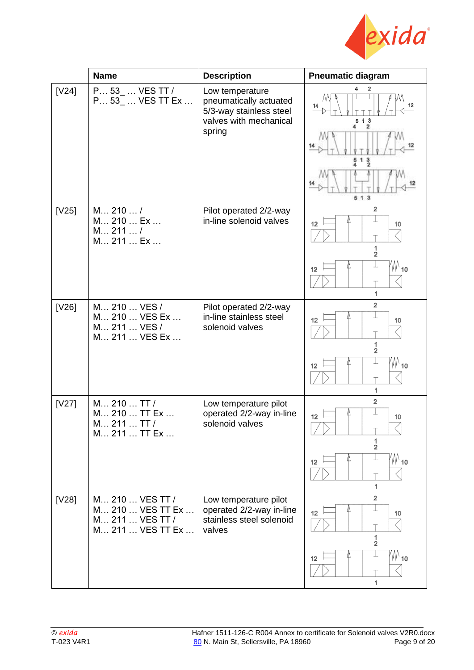

|         | <b>Name</b>                                                                | <b>Description</b>                                                                                       | <b>Pneumatic diagram</b>                                                                  |
|---------|----------------------------------------------------------------------------|----------------------------------------------------------------------------------------------------------|-------------------------------------------------------------------------------------------|
| $[V24]$ | P 53_  VES TT /<br>P 53_  VES TT Ex                                        | Low temperature<br>pneumatically actuated<br>5/3-way stainless steel<br>valves with mechanical<br>spring | 2<br>M<br>14<br>12<br>513<br>$\overline{\mathbf{2}}$<br>4<br>3<br>51                      |
| [V25]   | M 210 /<br>M 210  Ex<br>M 211 /<br>M 211  Ex                               | Pilot operated 2/2-way<br>in-line solenoid valves                                                        | $\overline{2}$<br>12<br>10<br>1<br>$\overline{\mathbf{2}}$<br>/\\/ 10<br>12<br>1          |
| [V26]   | M 210  VES /<br>M 210  VES Ex<br>M 211  VES /<br>M 211  VES Ex             | Pilot operated 2/2-way<br>in-line stainless steel<br>solenoid valves                                     | $\overline{2}$<br>12<br>10<br>1<br>$\overline{\mathbf{2}}$<br>$M_{10}$<br>12<br>1         |
| [V27]   | M 210  TT /<br>M 210  TT Ex<br>M 211  TT /<br>M 211  TT Ex                 | Low temperature pilot<br>operated 2/2-way in-line<br>solenoid valves                                     | $\overline{2}$<br>12<br>10<br>1<br>$\overline{\mathbf{2}}$<br>M\ <sub>10</sub><br>12<br>1 |
| [V28]   | M 210  VES TT /<br>M 210  VES TT Ex<br>M 211  VES TT /<br>M 211  VES TT Ex | Low temperature pilot<br>operated 2/2-way in-line<br>stainless steel solenoid<br>valves                  | $\overline{2}$<br>12<br>10<br>1<br>$\overline{\mathbf{2}}$<br>/W 10<br>12                 |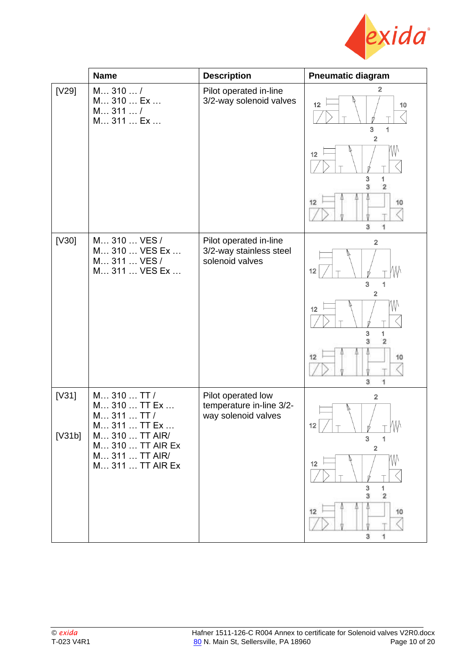

|                 | <b>Name</b>                                                                                                                            | <b>Description</b>                                                    | <b>Pneumatic diagram</b>                                                                                                        |
|-----------------|----------------------------------------------------------------------------------------------------------------------------------------|-----------------------------------------------------------------------|---------------------------------------------------------------------------------------------------------------------------------|
| [V29]           | M310/<br>M 310  Ex<br>M311/<br>M 311  Ex                                                                                               | Pilot operated in-line<br>3/2-way solenoid valves                     | $\overline{2}$<br>12<br>10<br>3<br>2<br>W<br>12<br>3<br>1<br>$\overline{2}$<br>ä<br>12<br>10<br>3<br>1                          |
| [V30]           | M 310  VES /<br>M 310  VES Ex<br>M 311  VES /<br>M 311  VES Ex                                                                         | Pilot operated in-line<br>3/2-way stainless steel<br>solenoid valves  | $\overline{2}$<br>12<br>3<br>1<br>$\mathbf 2$<br>12<br>3<br>1<br>$\overline{2}$<br>3<br>12<br>10<br>з                           |
| [V31]<br>[V31b] | M 310  TT /<br>M 310  TT Ex<br>M 311  TT /<br>M 311  TT Ex<br>M 310  TT AIR/<br>M 310  TT AIR Ex<br>M 311  TT AIR/<br>M 311  TT AIR Ex | Pilot operated low<br>temperature in-line 3/2-<br>way solenoid valves | $\overline{2}$<br>M)<br>12<br>3<br>1<br>$\mathbf 2$<br>ИM<br>12<br>3<br>1<br>$\overline{\mathbf{2}}$<br>3<br>12<br>10<br>1<br>3 |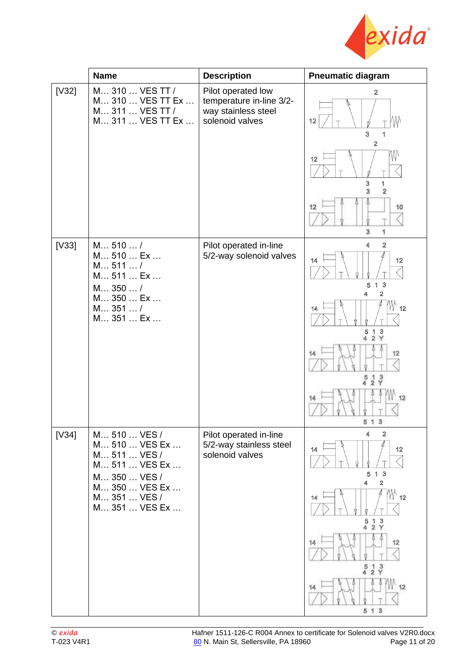

|         | <b>Name</b>                                                                    | <b>Description</b>                                                                       | <b>Pneumatic diagram</b>                                                              |
|---------|--------------------------------------------------------------------------------|------------------------------------------------------------------------------------------|---------------------------------------------------------------------------------------|
| $[V]$   | M 310  VES TT /<br>M 310  VES TT Ex<br>M 311  VES TT /<br>M 311  VES TT Ex     | Pilot operated low<br>temperature in-line 3/2-<br>way stainless steel<br>solenoid valves | 2<br>12<br>3<br>1<br>$\boldsymbol{2}$                                                 |
|         |                                                                                |                                                                                          | MЛ<br>12<br>3<br>1<br>$\mathbf 2$<br>3                                                |
|         |                                                                                |                                                                                          | 12<br>10<br>3<br>1                                                                    |
| $[V33]$ | M 510 /<br>M 510  Ex<br>M 511 /<br>M 511  Ex<br>M 350  /                       | Pilot operated in-line<br>5/2-way solenoid valves                                        | $\overline{2}$<br>4<br>14<br>12<br>5 1 3<br>$\overline{2}$<br>4                       |
|         | M 350  Ex<br>M351/<br>M 351  Ex                                                |                                                                                          | W 12<br>14<br>$513$<br>4 2 Y                                                          |
|         |                                                                                |                                                                                          | 12<br>$\frac{5}{4}$ $\frac{1}{2}$ $\frac{3}{Y}$                                       |
|         |                                                                                |                                                                                          | 12<br>5 1 3                                                                           |
| [V34]   | M 510  VES /<br>M 510  VES Ex<br>M 511  VES /<br>M 511  VES Ex<br>M 350  VES / | Pilot operated in-line<br>5/2-way stainless steel<br>solenoid valves                     | $\overline{2}$<br>4<br>12<br>14<br>13<br>5<br>$\overline{2}$<br>4                     |
|         | M 350  VES Ex<br>M 351  VES /<br>M 351  VES Ex                                 |                                                                                          | W 12<br>14<br>$\mathbf{3}$<br>5<br>$\begin{array}{c} 1 & 3 \\ 2 & Y \end{array}$<br>4 |
|         |                                                                                |                                                                                          | 12<br>14<br>$\frac{5}{4}$ $\frac{1}{2}$ $\frac{3}{Y}$                                 |
|         |                                                                                |                                                                                          | 12<br>5 1 3                                                                           |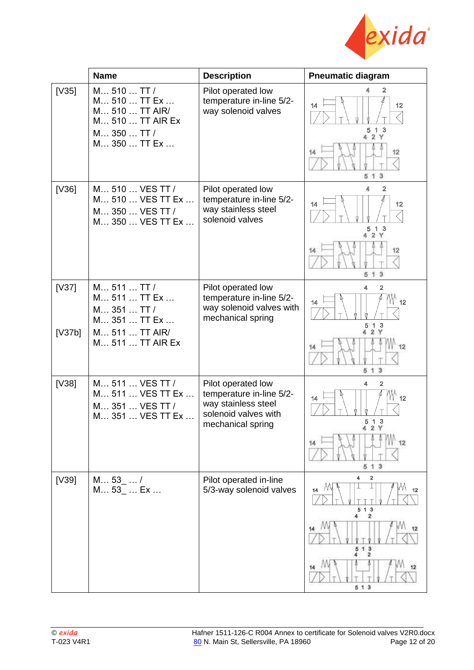

|                 | <b>Name</b>                                                                                      | <b>Description</b>                                                                                                 | <b>Pneumatic diagram</b>                                                               |
|-----------------|--------------------------------------------------------------------------------------------------|--------------------------------------------------------------------------------------------------------------------|----------------------------------------------------------------------------------------|
| $[1]$           | M 510  TT /<br>M 510  TT Ex<br>M 510  TT AIR/<br>M 510  TT AIR Ex<br>M 350  TT /<br>M 350  TT Ex | Pilot operated low<br>temperature in-line 5/2-<br>way solenoid valves                                              | 2<br>14<br>12<br>5 1 3<br>4 2 Y<br>12<br>14<br>3<br>5 <sub>1</sub>                     |
| $[V36]$         | M 510  VES TT /<br>M 510  VES TT Ex<br>M 350  VES TT /<br>M 350  VES TT Ex                       | Pilot operated low<br>temperature in-line 5/2-<br>way stainless steel<br>solenoid valves                           | $\overline{2}$<br>4<br>14<br>12<br>13<br>5<br>2Y<br>12<br>14<br>1<br>$\mathbf{3}$<br>5 |
| [V37]<br>[V37b] | M 511  TT /<br>M 511  TT Ex<br>M 351  TT /<br>M 351  TT Ex<br>M 511  TT AIR/                     | Pilot operated low<br>temperature in-line 5/2-<br>way solenoid valves with<br>mechanical spring                    | 4<br>$\overline{2}$<br>W 12<br>14<br>3<br>5<br>-1<br>2 Y                               |
|                 | M 511  TT AIR Ex                                                                                 |                                                                                                                    | 12<br>14<br>3<br>5<br>1                                                                |
| [V38]           | M 511  VES TT /<br>M 511  VES TT Ex<br>M 351  VES TT /<br>M 351  VES TT Ex                       | Pilot operated low<br>temperature in-line 5/2-<br>way stainless steel<br>solenoid valves with<br>mechanical spring | $\overline{2}$<br>4<br>W 12<br>14<br>5 1 3<br>4 2 Y                                    |
|                 |                                                                                                  |                                                                                                                    | 12<br>14<br>513                                                                        |
| $[V39]$         | M 53 /<br>M 53_  Ex                                                                              | Pilot operated in-line<br>5/3-way solenoid valves                                                                  | 4<br>2<br>14<br>5 1 3<br>4<br>$\overline{2}$                                           |
|                 |                                                                                                  |                                                                                                                    | 14<br>513<br>2                                                                         |
|                 |                                                                                                  |                                                                                                                    | 513                                                                                    |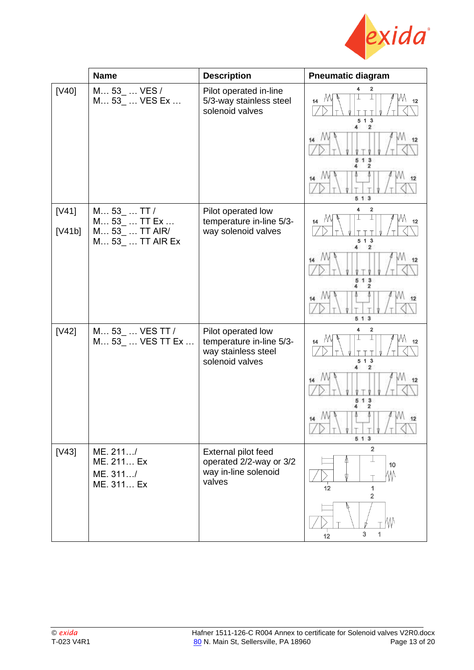

|                 | <b>Name</b>                                                     | <b>Description</b>                                                                       | <b>Pneumatic diagram</b>                                      |
|-----------------|-----------------------------------------------------------------|------------------------------------------------------------------------------------------|---------------------------------------------------------------|
| [V40]           | M 53_  VES /<br>M 53_  VES Ex                                   | Pilot operated in-line<br>5/3-way stainless steel<br>solenoid valves                     | 2<br>M<br>12<br>14<br>5 1 3                                   |
|                 |                                                                 |                                                                                          | 4<br>$\overline{\mathbf{2}}$<br>3<br>1<br>5<br>$\overline{2}$ |
|                 |                                                                 |                                                                                          | 513                                                           |
| [V41]<br>[V41b] | M 53 TT /<br>M 53_  TT Ex<br>M 53_  TT AIR/<br>M 53_  TT AIR Ex | Pilot operated low<br>temperature in-line 5/3-<br>way solenoid valves                    | $\mathbf 2$<br>4<br>12<br>14<br>513                           |
|                 |                                                                 |                                                                                          | $\mathbf{z}$<br>3<br>1<br>2                                   |
|                 |                                                                 |                                                                                          | 513                                                           |
| [V42]           | M 53_  VES TT /<br>M 53_  VES TT Ex                             | Pilot operated low<br>temperature in-line 5/3-<br>way stainless steel<br>solenoid valves | $\boldsymbol{2}$<br>4<br>14<br>5 1 3<br>2                     |
|                 |                                                                 |                                                                                          | 14<br>513                                                     |
|                 |                                                                 |                                                                                          | 513                                                           |
| $[V43]$         | ME. 211/<br>ME. 211 Ex<br>ME. 311/<br>ME. 311 Ex                | External pilot feed<br>operated 2/2-way or 3/2<br>way in-line solenoid<br>valves         | $\overline{2}$<br>10<br>ИM<br>12<br>1<br>$\overline{2}$       |
|                 |                                                                 |                                                                                          | 3<br>1<br>12                                                  |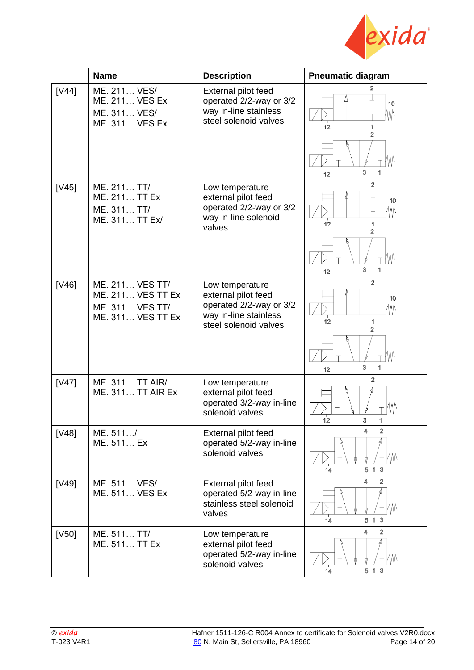

|       | <b>Name</b>                                                                                | <b>Description</b>                                                                                                  | <b>Pneumatic diagram</b>                                     |  |  |
|-------|--------------------------------------------------------------------------------------------|---------------------------------------------------------------------------------------------------------------------|--------------------------------------------------------------|--|--|
| [V44] | ME. 211 VES/<br><b>ME. 211 VES Ex</b><br>ME. 311 VES/<br><b>ME. 311 VES Ex</b>             | External pilot feed<br>operated 2/2-way or 3/2<br>way in-line stainless<br>steel solenoid valves                    | $\overline{2}$<br>W<br>10<br>WV<br>12<br>1<br>$\overline{2}$ |  |  |
|       |                                                                                            |                                                                                                                     | 3<br>1<br>12                                                 |  |  |
| [V45] | ME. 211 TT/<br>ME. 211 TT Ex<br>ME. 311 TT/<br>ME. 311 TT Ex/                              | Low temperature<br>external pilot feed<br>operated 2/2-way or 3/2<br>way in-line solenoid<br>valves                 | $\overline{2}$<br>10<br>WV<br>12<br>1<br>$\overline{2}$      |  |  |
|       |                                                                                            |                                                                                                                     | 3<br>1<br>12                                                 |  |  |
| [V46] | ME. 211 VES TT/<br><b>ME. 211 VES TT Ex</b><br>ME. 311 VES TT/<br><b>ME. 311 VES TT Ex</b> | Low temperature<br>external pilot feed<br>operated 2/2-way or 3/2<br>way in-line stainless<br>steel solenoid valves | $\overline{2}$<br>10<br>W<br>12<br>1<br>2                    |  |  |
|       |                                                                                            |                                                                                                                     | 3<br>1<br>12                                                 |  |  |
| [V47] | ME. 311 TT AIR/<br><b>ME. 311 TT AIR Ex</b>                                                | Low temperature<br>external pilot feed<br>operated 3/2-way in-line<br>solenoid valves                               | $\mathbf{2}$<br>12<br>3                                      |  |  |
| [V48] | ME. 511/<br>ME. 511 Ex                                                                     | External pilot feed<br>operated 5/2-way in-line<br>solenoid valves                                                  | 4<br>$\mathbf{2}$<br>5 1 3<br>14                             |  |  |
| [V49] | ME. 511 VES/<br>ME. 511 VES Ex                                                             | External pilot feed<br>operated 5/2-way in-line<br>stainless steel solenoid<br>valves                               | 4<br>$\overline{2}$<br>W<br>5 1 3<br>14                      |  |  |
| [V50] | ME. 511 TT/<br>ME. 511 TT Ex                                                               | Low temperature<br>external pilot feed<br>operated 5/2-way in-line<br>solenoid valves                               | 4<br>$\overline{2}$<br>5 1 3<br>14                           |  |  |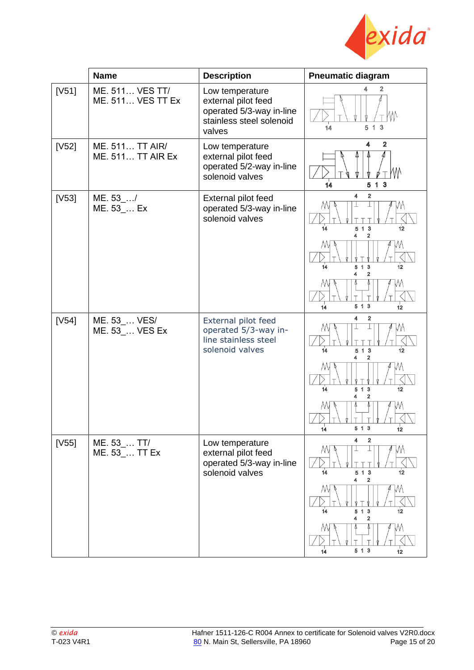

|         | <b>Name</b>                                 | <b>Description</b>                                                                                       | <b>Pneumatic diagram</b>                                                    |
|---------|---------------------------------------------|----------------------------------------------------------------------------------------------------------|-----------------------------------------------------------------------------|
| $[V51]$ | ME. 511 VES TT/<br><b>ME. 511 VES TT Ex</b> | Low temperature<br>external pilot feed<br>operated 5/3-way in-line<br>stainless steel solenoid<br>valves | $\overline{\mathbf{2}}$<br>4<br>W<br>5 1 3<br>14                            |
| [V52]   | ME. 511 TT AIR/<br><b>ME. 511 TT AIR Ex</b> | Low temperature<br>external pilot feed<br>operated 5/2-way in-line<br>solenoid valves                    | $\mathbf{2}$<br>4<br>ИW<br>5 1 3<br>14                                      |
| [V53]   | ME. $53$ <sub></sub> /<br>ME. 53_ Ex        | External pilot feed<br>operated 5/3-way in-line<br>solenoid valves                                       | 4<br>$\overline{\mathbf{2}}$<br>14<br>513<br>12<br>$\overline{2}$           |
|         |                                             |                                                                                                          | 14<br>5 1 3<br>12<br>2                                                      |
|         |                                             |                                                                                                          | 513<br>12<br>14                                                             |
| [V54]   | ME. 53_ VES/<br>ME. 53_ VES Ex              | External pilot feed<br>operated 5/3-way in-<br>line stainless steel<br>solenoid valves                   | 2<br>4<br>513<br>14<br>12<br>2<br>4                                         |
|         |                                             |                                                                                                          | 14<br>5 1 3<br>12<br>2<br>4                                                 |
|         |                                             |                                                                                                          | 12<br>$14^{1}$<br>5 1 3                                                     |
| [V55]   | ME. 53_ TT/<br>ME. 53  TT Ex                | Low temperature<br>external pilot feed<br>operated 5/3-way in-line<br>solenoid valves                    | 4<br>2<br>M<br>$\overline{14}$<br>513<br>12<br>$\overline{\mathbf{2}}$<br>4 |
|         |                                             |                                                                                                          | МĪ<br>14<br>5 1 3<br>12<br>2<br>4                                           |
|         |                                             |                                                                                                          | M<br>5 1 3<br>14<br>12                                                      |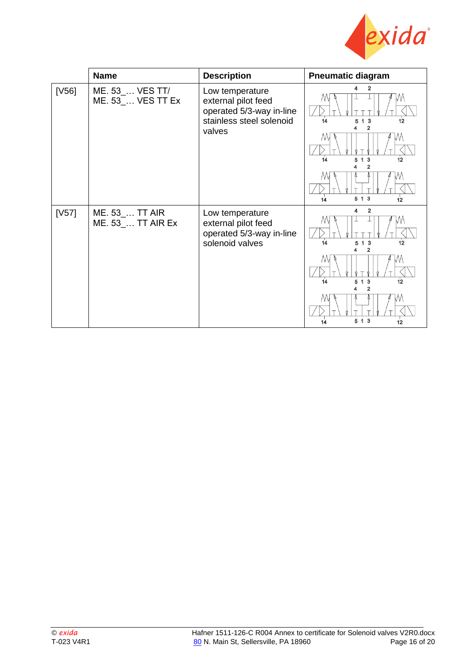

|         | <b>Name</b>                          | <b>Description</b>                                                                                       | <b>Pneumatic diagram</b>                                                                                                 |
|---------|--------------------------------------|----------------------------------------------------------------------------------------------------------|--------------------------------------------------------------------------------------------------------------------------|
| [V56]   | ME. 53  VES TT/<br>ME. 53_ VES TT Ex | Low temperature<br>external pilot feed<br>operated 5/3-way in-line<br>stainless steel solenoid<br>valves | 4<br>2<br>1 <sub>3</sub><br>12<br>14<br>5<br>2<br>M<br>14<br>5 1 3<br>12<br>/VV<br>5 1 3<br>14<br>12                     |
| $[VS]1$ | ME. 53  TT AIR<br>ME. 53_ TT AIR Ex  | Low temperature<br>external pilot feed<br>operated 5/3-way in-line<br>solenoid valves                    | 2<br>4<br>M<br>1 <sub>3</sub><br>12<br>14<br>5<br>$\overline{2}$<br>ΛW<br>14<br>1 3<br>12<br>5<br>2<br>5 1 3<br>14<br>12 |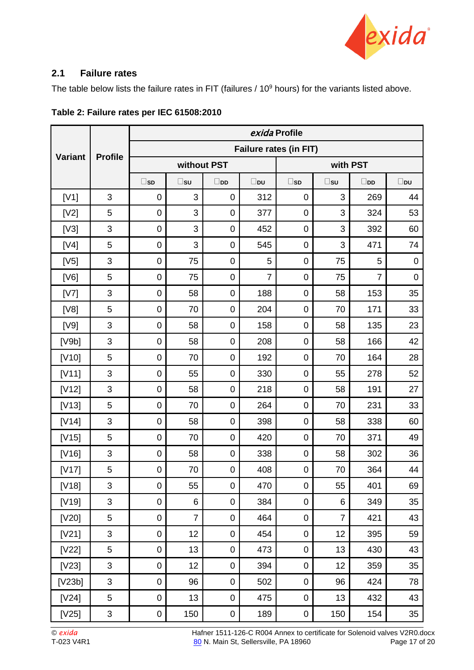

### <span id="page-16-0"></span>**2.1 Failure rates**

The table below lists the failure rates in FIT (failures / 10<sup>9</sup> hours) for the variants listed above.

|                |                | exida Profile    |                               |                  |                |              |                |                |              |  |
|----------------|----------------|------------------|-------------------------------|------------------|----------------|--------------|----------------|----------------|--------------|--|
| <b>Variant</b> |                |                  | <b>Failure rates (in FIT)</b> |                  |                |              |                |                |              |  |
|                | <b>Profile</b> | without PST      |                               |                  | with PST       |              |                |                |              |  |
|                |                | $\square$ sd     | $\square$ su                  | $\square$ pp     | $\square$ pu   | $\square$ sd | $\square$ su   | $\square$ pp   | $\square$ pu |  |
| [V1]           | 3              | $\mathbf 0$      | 3                             | $\mathbf 0$      | 312            | $\mathbf 0$  | 3              | 269            | 44           |  |
| [V2]           | 5              | $\mathbf 0$      | 3                             | $\mathbf 0$      | 377            | $\mathbf 0$  | 3              | 324            | 53           |  |
| [V3]           | 3              | $\pmb{0}$        | 3                             | $\mathbf 0$      | 452            | $\pmb{0}$    | 3              | 392            | 60           |  |
| [V4]           | 5              | $\mathbf 0$      | 3                             | $\mathbf 0$      | 545            | $\mathbf 0$  | 3              | 471            | 74           |  |
| [V5]           | 3              | $\pmb{0}$        | 75                            | $\mathbf 0$      | 5              | $\pmb{0}$    | 75             | 5              | $\mathbf 0$  |  |
| [V6]           | 5              | $\pmb{0}$        | 75                            | $\mathbf 0$      | $\overline{7}$ | $\mathbf 0$  | 75             | $\overline{7}$ | $\mathbf 0$  |  |
| [V7]           | 3              | $\pmb{0}$        | 58                            | $\mathbf 0$      | 188            | $\pmb{0}$    | 58             | 153            | 35           |  |
| [V8]           | 5              | $\pmb{0}$        | 70                            | $\mathbf 0$      | 204            | $\mathbf 0$  | 70             | 171            | 33           |  |
| [V9]           | 3              | $\mathbf 0$      | 58                            | $\mathbf 0$      | 158            | $\mathbf 0$  | 58             | 135            | 23           |  |
| [V9b]          | 3              | $\pmb{0}$        | 58                            | $\mathbf 0$      | 208            | $\pmb{0}$    | 58             | 166            | 42           |  |
| [V10]          | 5              | $\mathbf 0$      | 70                            | $\mathbf 0$      | 192            | $\pmb{0}$    | 70             | 164            | 28           |  |
| [V11]          | 3              | $\mathbf 0$      | 55                            | $\mathbf 0$      | 330            | $\pmb{0}$    | 55             | 278            | 52           |  |
| $[V12]$        | 3              | $\pmb{0}$        | 58                            | $\mathbf 0$      | 218            | $\pmb{0}$    | 58             | 191            | 27           |  |
| $[V13]$        | 5              | 0                | 70                            | $\mathbf 0$      | 264            | $\pmb{0}$    | 70             | 231            | 33           |  |
| [V14]          | 3              | 0                | 58                            | $\mathbf 0$      | 398            | $\pmb{0}$    | 58             | 338            | 60           |  |
| $[V15]$        | 5              | $\pmb{0}$        | 70                            | $\mathbf 0$      | 420            | $\pmb{0}$    | 70             | 371            | 49           |  |
| [V16]          | 3              | 0                | 58                            | $\mathbf 0$      | 338            | $\pmb{0}$    | 58             | 302            | 36           |  |
| [V17]          | 5              | $\pmb{0}$        | 70                            | $\mathbf 0$      | 408            | $\mathbf 0$  | 70             | 364            | 44           |  |
| $[V18]$        | 3              | $\pmb{0}$        | 55                            | $\boldsymbol{0}$ | 470            | $\pmb{0}$    | 55             | 401            | 69           |  |
| $[V19]$        | 3              | $\pmb{0}$        | 6                             | $\mathbf 0$      | 384            | $\pmb{0}$    | 6              | 349            | 35           |  |
| [V20]          | 5              | $\pmb{0}$        | $\overline{7}$                | $\boldsymbol{0}$ | 464            | $\pmb{0}$    | $\overline{7}$ | 421            | 43           |  |
| [V21]          | 3              | $\pmb{0}$        | 12                            | $\boldsymbol{0}$ | 454            | $\pmb{0}$    | 12             | 395            | 59           |  |
| [V22]          | 5              | $\pmb{0}$        | 13                            | $\mathbf 0$      | 473            | $\pmb{0}$    | 13             | 430            | 43           |  |
| $[V23]$        | 3              | $\pmb{0}$        | 12                            | $\boldsymbol{0}$ | 394            | $\pmb{0}$    | 12             | 359            | 35           |  |
| [V23b]         | 3              | $\pmb{0}$        | 96                            | $\boldsymbol{0}$ | 502            | $\pmb{0}$    | 96             | 424            | 78           |  |
| [V24]          | 5              | $\pmb{0}$        | 13                            | $\mathbf 0$      | 475            | $\pmb{0}$    | 13             | 432            | 43           |  |
| $[125]$        | 3              | $\boldsymbol{0}$ | 150                           | $\pmb{0}$        | 189            | $\pmb{0}$    | 150            | 154            | 35           |  |

**Table 2: Failure rates per IEC 61508:2010**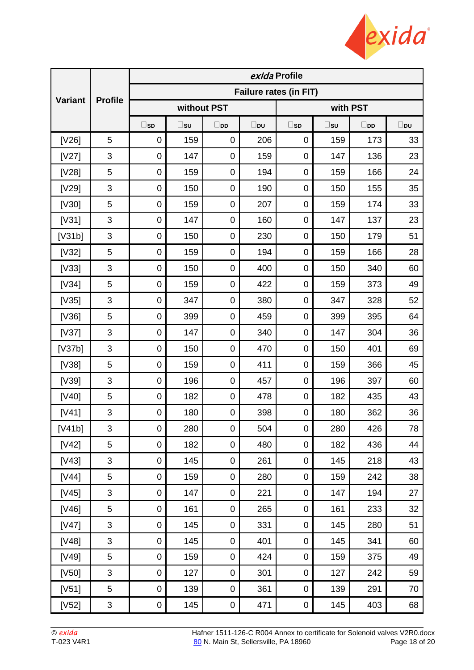

|                |                | exida Profile          |              |                  |              |                  |              |              |              |
|----------------|----------------|------------------------|--------------|------------------|--------------|------------------|--------------|--------------|--------------|
| <b>Variant</b> | <b>Profile</b> | Failure rates (in FIT) |              |                  |              |                  |              |              |              |
|                |                |                        | without PST  |                  |              | with PST         |              |              |              |
|                |                | $\square$ sd           | $\square$ su | $\square$ pp     | $\square$ pu | $\square$ sd     | $\square$ su | $\square$ pp | $\square$ pu |
| [V26]          | 5              | $\mathbf 0$            | 159          | $\mathbf 0$      | 206          | $\mathbf 0$      | 159          | 173          | 33           |
| [V27]          | $\sqrt{3}$     | $\mathbf 0$            | 147          | $\pmb{0}$        | 159          | $\mathbf 0$      | 147          | 136          | 23           |
| [V28]          | 5              | $\pmb{0}$              | 159          | $\boldsymbol{0}$ | 194          | 0                | 159          | 166          | 24           |
| [V29]          | $\mathfrak{S}$ | $\mathbf 0$            | 150          | $\pmb{0}$        | 190          | $\mathbf 0$      | 150          | 155          | 35           |
| [V30]          | 5              | $\overline{0}$         | 159          | $\pmb{0}$        | 207          | 0                | 159          | 174          | 33           |
| [V31]          | $\mathfrak{B}$ | $\pmb{0}$              | 147          | $\boldsymbol{0}$ | 160          | $\mathsf 0$      | 147          | 137          | 23           |
| [V31b]         | $\sqrt{3}$     | $\mathbf 0$            | 150          | $\pmb{0}$        | 230          | 0                | 150          | 179          | 51           |
| $[V32]$        | 5              | $\mathbf 0$            | 159          | $\pmb{0}$        | 194          | 0                | 159          | 166          | 28           |
| [V33]          | $\mathfrak{B}$ | $\mathbf 0$            | 150          | $\boldsymbol{0}$ | 400          | $\mathsf 0$      | 150          | 340          | 60           |
| [V34]          | 5              | $\mathbf 0$            | 159          | $\pmb{0}$        | 422          | 0                | 159          | 373          | 49           |
| [V35]          | $\sqrt{3}$     | $\mathbf 0$            | 347          | $\pmb{0}$        | 380          | 0                | 347          | 328          | 52           |
| [V36]          | 5              | $\pmb{0}$              | 399          | $\boldsymbol{0}$ | 459          | $\mathsf 0$      | 399          | 395          | 64           |
| [V37]          | $\sqrt{3}$     | $\mathbf 0$            | 147          | $\pmb{0}$        | 340          | 0                | 147          | 304          | 36           |
| [V37b]         | 3              | $\mathbf 0$            | 150          | $\pmb{0}$        | 470          | 0                | 150          | 401          | 69           |
| [V38]          | 5              | $\pmb{0}$              | 159          | $\boldsymbol{0}$ | 411          | $\mathbf 0$      | 159          | 366          | 45           |
| [V39]          | $\sqrt{3}$     | $\mathbf 0$            | 196          | $\pmb{0}$        | 457          | 0                | 196          | 397          | 60           |
| [V40]          | 5              | $\mathbf 0$            | 182          | $\pmb{0}$        | 478          | 0                | 182          | 435          | 43           |
| [V41]          | $\sqrt{3}$     | $\pmb{0}$              | 180          | $\pmb{0}$        | 398          | $\pmb{0}$        | 180          | 362          | 36           |
| [V41b]         | 3              | 0                      | 280          | 0                | 504          | 0                | 280          | 426          | 78           |
| $[142]$        | 5              | $\pmb{0}$              | 182          | $\pmb{0}$        | 480          | $\pmb{0}$        | 182          | 436          | 44           |
| $[143]$        | $\mathfrak{B}$ | $\pmb{0}$              | 145          | $\pmb{0}$        | 261          | $\pmb{0}$        | 145          | 218          | 43           |
| [V44]          | 5              | $\pmb{0}$              | 159          | $\boldsymbol{0}$ | 280          | 0                | 159          | 242          | 38           |
| $[145]$        | 3              | $\pmb{0}$              | 147          | $\pmb{0}$        | 221          | $\mathsf 0$      | 147          | 194          | 27           |
| [V46]          | 5              | $\pmb{0}$              | 161          | $\pmb{0}$        | 265          | 0                | 161          | 233          | 32           |
| [V47]          | 3              | $\pmb{0}$              | 145          | $\pmb{0}$        | 331          | 0                | 145          | 280          | 51           |
| [V48]          | 3              | $\pmb{0}$              | 145          | $\pmb{0}$        | 401          | $\boldsymbol{0}$ | 145          | 341          | 60           |
| [V49]          | 5              | $\pmb{0}$              | 159          | $\pmb{0}$        | 424          | 0                | 159          | 375          | 49           |
| [V50]          | $\mathfrak{S}$ | 0                      | 127          | $\pmb{0}$        | 301          | 0                | 127          | 242          | 59           |
| [V51]          | 5              | $\pmb{0}$              | 139          | $\pmb{0}$        | 361          | $\mathbf 0$      | 139          | 291          | 70           |
| $[VS2]$        | 3              | 0                      | 145          | 0                | 471          | $\pmb{0}$        | 145          | 403          | 68           |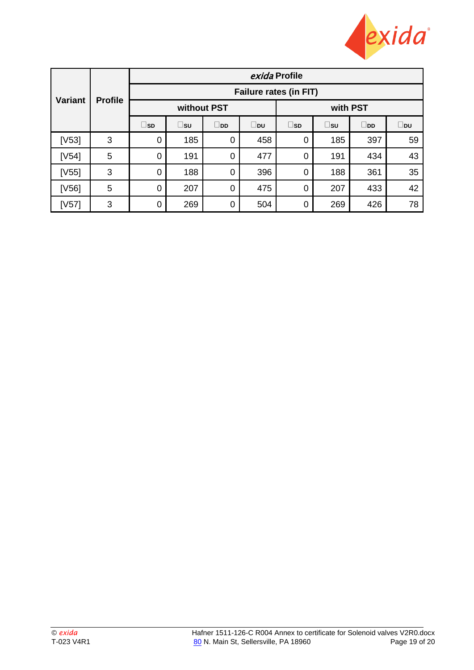

|                |                |                               |              |                |          | exida Profile  |     |              |     |  |  |
|----------------|----------------|-------------------------------|--------------|----------------|----------|----------------|-----|--------------|-----|--|--|
|                |                | <b>Failure rates (in FIT)</b> |              |                |          |                |     |              |     |  |  |
| <b>Variant</b> | <b>Profile</b> |                               | without PST  |                | with PST |                |     |              |     |  |  |
|                |                | $\sqcup$ sd                   | $\square$ su | $\square$ pp   | ⊥b∪      | $\square$ sd   | ⊔s∪ | $\square$ DD | ∐pu |  |  |
| [V53]          | 3              | $\Omega$                      | 185          | $\mathbf 0$    | 458      | 0              | 185 | 397          | 59  |  |  |
| [V54]          | 5              | $\Omega$                      | 191          | $\mathbf 0$    | 477      | 0              | 191 | 434          | 43  |  |  |
| [V55]          | 3              | 0                             | 188          | 0              | 396      | 0              | 188 | 361          | 35  |  |  |
| [V56]          | 5              | $\mathbf 0$                   | 207          | $\overline{0}$ | 475      | $\overline{0}$ | 207 | 433          | 42  |  |  |
| [V57]          | 3              | 0                             | 269          | 0              | 504      | 0              | 269 | 426          | 78  |  |  |